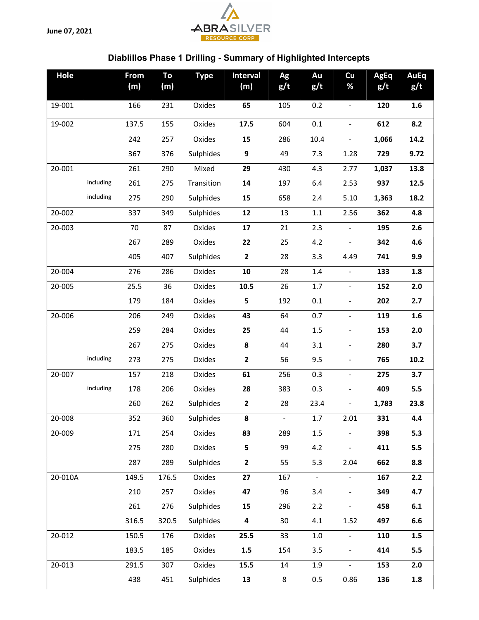June 07, 2021



## Diablillos Phase 1 Drilling - Summary of Highlighted Intercepts

| Hole    |           | From<br>(m) | To<br>(m) | <b>Type</b> | <b>Interval</b><br>(m)  | Ag<br>g/t      | Au<br>g/t | Cu<br>%                      | <b>AgEq</b><br>g/t | <b>AuEq</b><br>g/t |
|---------|-----------|-------------|-----------|-------------|-------------------------|----------------|-----------|------------------------------|--------------------|--------------------|
| 19-001  |           | 166         | 231       | Oxides      | 65                      | 105            | 0.2       | $\blacksquare$               | 120                | 1.6                |
| 19-002  |           | 137.5       | 155       | Oxides      | 17.5                    | 604            | 0.1       | $\blacksquare$               | 612                | 8.2                |
|         |           | 242         | 257       | Oxides      | 15                      | 286            | 10.4      | $\blacksquare$               | 1,066              | 14.2               |
|         |           | 367         | 376       | Sulphides   | $\boldsymbol{9}$        | 49             | 7.3       | 1.28                         | 729                | 9.72               |
| 20-001  |           | 261         | 290       | Mixed       | 29                      | 430            | 4.3       | 2.77                         | 1,037              | 13.8               |
|         | including | 261         | 275       | Transition  | 14                      | 197            | 6.4       | 2.53                         | 937                | 12.5               |
|         | including | 275         | 290       | Sulphides   | 15                      | 658            | 2.4       | 5.10                         | 1,363              | 18.2               |
| 20-002  |           | 337         | 349       | Sulphides   | 12                      | 13             | $1.1\,$   | 2.56                         | 362                | 4.8                |
| 20-003  |           | 70          | 87        | Oxides      | 17                      | 21             | 2.3       | $\blacksquare$               | 195                | 2.6                |
|         |           | 267         | 289       | Oxides      | 22                      | 25             | 4.2       | $\qquad \qquad \blacksquare$ | 342                | 4.6                |
|         |           | 405         | 407       | Sulphides   | $\mathbf{2}$            | 28             | 3.3       | 4.49                         | 741                | 9.9                |
| 20-004  |           | 276         | 286       | Oxides      | 10                      | 28             | $1.4\,$   | $\blacksquare$               | 133                | 1.8                |
| 20-005  |           | 25.5        | 36        | Oxides      | 10.5                    | 26             | $1.7\,$   | $\blacksquare$               | 152                | 2.0                |
|         |           | 179         | 184       | Oxides      | 5                       | 192            | 0.1       | $\qquad \qquad \blacksquare$ | 202                | 2.7                |
| 20-006  |           | 206         | 249       | Oxides      | 43                      | 64             | 0.7       | $\blacksquare$               | 119                | 1.6                |
|         |           | 259         | 284       | Oxides      | 25                      | 44             | 1.5       | $\frac{1}{2}$                | 153                | 2.0                |
|         |           | 267         | 275       | Oxides      | 8                       | 44             | 3.1       | $\qquad \qquad \blacksquare$ | 280                | 3.7                |
|         | including | 273         | 275       | Oxides      | $\mathbf{2}$            | 56             | 9.5       | $\blacksquare$               | 765                | 10.2               |
| 20-007  |           | 157         | 218       | Oxides      | 61                      | 256            | 0.3       | $\blacksquare$               | 275                | 3.7                |
|         | including | 178         | 206       | Oxides      | 28                      | 383            | 0.3       |                              | 409                | 5.5                |
|         |           | 260         | 262       | Sulphides   | $\mathbf{2}$            | 28             | 23.4      |                              | 1,783              | 23.8               |
| 20-008  |           | 352         | 360       | Sulphides   | 8                       | $\blacksquare$ | 1.7       | 2.01                         | 331                | 4.4                |
| 20-009  |           | 171         | 254       | Oxides      | 83                      | 289            | 1.5       |                              | 398                | 5.3                |
|         |           | 275         | 280       | Oxides      | 5                       | 99             | 4.2       | $\qquad \qquad \blacksquare$ | 411                | 5.5                |
|         |           | 287         | 289       | Sulphides   | $\mathbf{2}$            | 55             | 5.3       | 2.04                         | 662                | 8.8                |
| 20-010A |           | 149.5       | 176.5     | Oxides      | 27                      | 167            | $\omega$  | $\blacksquare$               | 167                | 2.2                |
|         |           | 210         | 257       | Oxides      | 47                      | 96             | 3.4       | $\blacksquare$               | 349                | 4.7                |
|         |           | 261         | 276       | Sulphides   | 15                      | 296            | 2.2       | $\qquad \qquad \blacksquare$ | 458                | 6.1                |
|         |           | 316.5       | 320.5     | Sulphides   | $\overline{\mathbf{4}}$ | 30             | 4.1       | 1.52                         | 497                | 6.6                |
| 20-012  |           | 150.5       | 176       | Oxides      | 25.5                    | 33             | $1.0\,$   | $\overline{\phantom{a}}$     | 110                | 1.5                |
|         |           | 183.5       | 185       | Oxides      | 1.5                     | 154            | 3.5       | $\blacksquare$               | 414                | 5.5                |
| 20-013  |           | 291.5       | 307       | Oxides      | 15.5                    | 14             | 1.9       | $\blacksquare$               | 153                | 2.0                |
|         |           | 438         | 451       | Sulphides   | 13                      | 8              | 0.5       | 0.86                         | 136                | $1.8\,$            |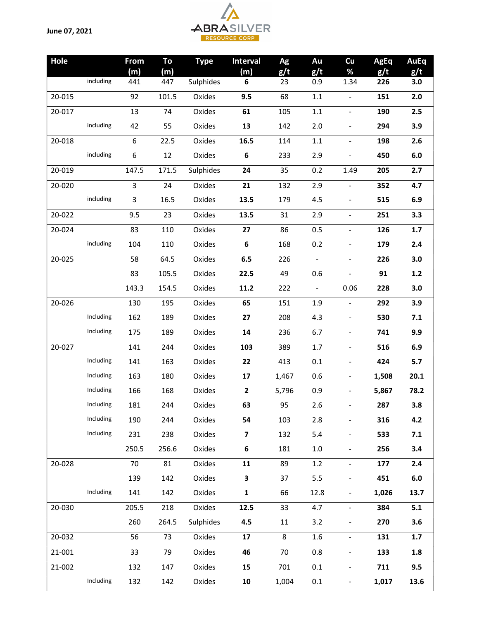

| Hole   |           | From             | To    | <b>Type</b> | <b>Interval</b>         | Ag    | Au             | Cu                           | <b>AgEq</b> | <b>AuEq</b> |
|--------|-----------|------------------|-------|-------------|-------------------------|-------|----------------|------------------------------|-------------|-------------|
|        |           | (m)              | (m)   |             | (m)                     | g/t   | g/t            | %                            | g/t         | g/t         |
|        | including | 441              | 447   | Sulphides   | 6                       | 23    | 0.9            | 1.34                         | 226         | 3.0         |
| 20-015 |           | 92               | 101.5 | Oxides      | 9.5                     | 68    | $1.1\,$        | $\blacksquare$               | 151         | 2.0         |
| 20-017 |           | 13               | 74    | Oxides      | 61                      | 105   | $1.1\,$        | $\blacksquare$               | 190         | 2.5         |
|        | including | 42               | 55    | Oxides      | 13                      | 142   | 2.0            | $\blacksquare$               | 294         | 3.9         |
| 20-018 |           | $\boldsymbol{6}$ | 22.5  | Oxides      | 16.5                    | 114   | 1.1            | $\blacksquare$               | 198         | 2.6         |
|        | including | 6                | 12    | Oxides      | 6                       | 233   | 2.9            | $\blacksquare$               | 450         | $6.0\,$     |
| 20-019 |           | 147.5            | 171.5 | Sulphides   | 24                      | 35    | 0.2            | 1.49                         | 205         | 2.7         |
| 20-020 |           | $\overline{3}$   | 24    | Oxides      | 21                      | 132   | 2.9            | $\equiv$                     | 352         | 4.7         |
|        | including | 3                | 16.5  | Oxides      | 13.5                    | 179   | 4.5            | $\blacksquare$               | 515         | 6.9         |
| 20-022 |           | 9.5              | 23    | Oxides      | 13.5                    | 31    | 2.9            | $\blacksquare$               | 251         | 3.3         |
| 20-024 |           | 83               | 110   | Oxides      | 27                      | 86    | 0.5            | $\blacksquare$               | 126         | 1.7         |
|        | including | 104              | 110   | Oxides      | 6                       | 168   | 0.2            | $\blacksquare$               | 179         | 2.4         |
| 20-025 |           | 58               | 64.5  | Oxides      | 6.5                     | 226   | $\equiv$       | $\blacksquare$               | 226         | 3.0         |
|        |           | 83               | 105.5 | Oxides      | 22.5                    | 49    | 0.6            |                              | 91          | $1.2$       |
|        |           | 143.3            | 154.5 | Oxides      | 11.2                    | 222   | $\blacksquare$ | 0.06                         | 228         | 3.0         |
| 20-026 |           | 130              | 195   | Oxides      | 65                      | 151   | 1.9            | $\blacksquare$               | 292         | 3.9         |
|        | Including | 162              | 189   | Oxides      | 27                      | 208   | 4.3            | $\blacksquare$               | 530         | 7.1         |
|        | Including | 175              | 189   | Oxides      | 14                      | 236   | 6.7            | $\blacksquare$               | 741         | 9.9         |
| 20-027 |           | 141              | 244   | Oxides      | 103                     | 389   | 1.7            | $\blacksquare$               | 516         | 6.9         |
|        | Including | 141              | 163   | Oxides      | 22                      | 413   | 0.1            | $\blacksquare$               | 424         | 5.7         |
|        | Including | 163              | 180   | Oxides      | 17                      | 1,467 | 0.6            | $\qquad \qquad \blacksquare$ | 1,508       | 20.1        |
|        | Including | 166              | 168   | Oxides      | $\overline{2}$          | 5,796 | 0.9            |                              | 5,867       | 78.2        |
|        | Including | 181              | 244   | Oxides      | 63                      | 95    | $2.6\,$        |                              | 287         | 3.8         |
|        | Including | 190              | 244   | Oxides      | 54                      | 103   | 2.8            | $\qquad \qquad \blacksquare$ | 316         | 4.2         |
|        | Including | 231              | 238   | Oxides      | $\overline{\mathbf{z}}$ | 132   | 5.4            | $\overline{\phantom{0}}$     | 533         | 7.1         |
|        |           | 250.5            | 256.6 | Oxides      | 6                       | 181   | $1.0\,$        | $\frac{1}{2}$                | 256         | 3.4         |
| 20-028 |           | 70               | 81    | Oxides      | 11                      | 89    | 1.2            | $\blacksquare$               | 177         | 2.4         |
|        |           | 139              | 142   | Oxides      | 3                       | 37    | 5.5            | $\frac{1}{2}$                | 451         | $6.0\,$     |
|        | Including | 141              | 142   | Oxides      | $\mathbf{1}$            | 66    | 12.8           | $\overline{\phantom{a}}$     | 1,026       | 13.7        |
| 20-030 |           | 205.5            | 218   | Oxides      | 12.5                    | 33    | 4.7            | ÷,                           | 384         | 5.1         |
|        |           | 260              | 264.5 | Sulphides   | 4.5                     | 11    | 3.2            | $\blacksquare$               | 270         | 3.6         |
| 20-032 |           | 56               | 73    | Oxides      | 17                      | 8     | 1.6            | $\blacksquare$               | 131         | 1.7         |
| 21-001 |           | 33               | 79    | Oxides      | 46                      | 70    | 0.8            | $\blacksquare$               | 133         | 1.8         |
| 21-002 |           | 132              | 147   | Oxides      | 15                      | 701   | 0.1            | $\blacksquare$               | 711         | 9.5         |
|        | Including | 132              | 142   | Oxides      | ${\bf 10}$              | 1,004 | 0.1            | $\qquad \qquad \blacksquare$ | 1,017       | 13.6        |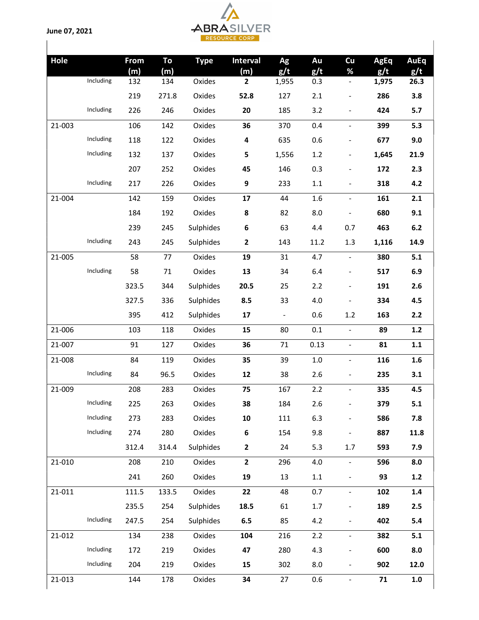June 07, 2021



| Hole   |           | From<br>(m) | To<br>(m) | <b>Type</b> | <b>Interval</b><br>(m) | Ag<br>g/t      | Au<br>g/t | Cu<br>%                  | <b>AgEq</b><br>g/t | <b>AuEq</b><br>g/t |
|--------|-----------|-------------|-----------|-------------|------------------------|----------------|-----------|--------------------------|--------------------|--------------------|
|        | Including | 132         | 134       | Oxides      | 2                      | 1,955          | 0.3       | ۳                        | 1,975              | 26.3               |
|        |           | 219         | 271.8     | Oxides      | 52.8                   | 127            | 2.1       | -                        | 286                | 3.8                |
|        | Including | 226         | 246       | Oxides      | 20                     | 185            | 3.2       | $\overline{\phantom{0}}$ | 424                | 5.7                |
| 21-003 |           | 106         | 142       | Oxides      | 36                     | 370            | 0.4       | $\overline{\phantom{0}}$ | 399                | 5.3                |
|        | Including | 118         | 122       | Oxides      | 4                      | 635            | 0.6       | $\overline{\phantom{0}}$ | 677                | 9.0                |
|        | Including | 132         | 137       | Oxides      | 5                      | 1,556          | 1.2       | $\overline{\phantom{0}}$ | 1,645              | 21.9               |
|        |           | 207         | 252       | Oxides      | 45                     | 146            | 0.3       |                          | 172                | 2.3                |
|        | Including | 217         | 226       | Oxides      | $\boldsymbol{9}$       | 233            | $1.1\,$   | -                        | 318                | 4.2                |
| 21-004 |           | 142         | 159       | Oxides      | 17                     | 44             | 1.6       | $\overline{\phantom{0}}$ | 161                | 2.1                |
|        |           | 184         | 192       | Oxides      | $\pmb{8}$              | 82             | 8.0       | $\overline{a}$           | 680                | 9.1                |
|        |           | 239         | 245       | Sulphides   | $\bf 6$                | 63             | 4.4       | 0.7                      | 463                | 6.2                |
|        | Including | 243         | 245       | Sulphides   | $\mathbf{2}$           | 143            | 11.2      | 1.3                      | 1,116              | 14.9               |
| 21-005 |           | 58          | 77        | Oxides      | 19                     | 31             | 4.7       | $\overline{\phantom{0}}$ | 380                | 5.1                |
|        | Including | 58          | 71        | Oxides      | 13                     | 34             | 6.4       | $\overline{\phantom{0}}$ | 517                | 6.9                |
|        |           | 323.5       | 344       | Sulphides   | 20.5                   | 25             | 2.2       | ÷,                       | 191                | 2.6                |
|        |           | 327.5       | 336       | Sulphides   | 8.5                    | 33             | 4.0       |                          | 334                | 4.5                |
|        |           | 395         | 412       | Sulphides   | 17                     | $\blacksquare$ | 0.6       | 1.2                      | 163                | 2.2                |
| 21-006 |           | 103         | 118       | Oxides      | 15                     | 80             | 0.1       | $\overline{\phantom{0}}$ | 89                 | 1.2                |
| 21-007 |           | 91          | 127       | Oxides      | 36                     | 71             | 0.13      | $\overline{\phantom{0}}$ | 81                 | 1.1                |
| 21-008 |           | 84          | 119       | Oxides      | 35                     | 39             | $1.0\,$   | $\overline{\phantom{0}}$ | 116                | 1.6                |
|        | Including | 84          | 96.5      | Oxides      | 12                     | 38             | 2.6       | Ξ.                       | 235                | 3.1                |
| 21-009 |           | 208         | 283       | Oxides      | 75                     | 167            | 2.2       | L.                       | 335                | 4.5                |
|        | Including | 225         | 263       | Oxides      | 38                     | 184            | 2.6       |                          | 379                | $5.1$              |
|        | Including | 273         | 283       | Oxides      | 10                     | 111            | 6.3       |                          | 586                | 7.8                |
|        | Including | 274         | 280       | Oxides      | 6                      | 154            | 9.8       | 4                        | 887                | 11.8               |
|        |           | 312.4       | 314.4     | Sulphides   | $\mathbf{2}$           | 24             | 5.3       | 1.7                      | 593                | 7.9                |
| 21-010 |           | 208         | 210       | Oxides      | $\mathbf{2}$           | 296            | 4.0       | $\overline{\phantom{0}}$ | 596                | 8.0                |
|        |           | 241         | 260       | Oxides      | 19                     | 13             | $1.1\,$   | $\overline{\phantom{0}}$ | 93                 | 1.2                |
| 21-011 |           | 111.5       | 133.5     | Oxides      | 22                     | 48             | 0.7       | $\blacksquare$           | 102                | 1.4                |
|        |           | 235.5       | 254       | Sulphides   | 18.5                   | 61             | $1.7\,$   | $\overline{\phantom{0}}$ | 189                | 2.5                |
|        | Including | 247.5       | 254       | Sulphides   | 6.5                    | 85             | 4.2       | $\blacksquare$           | 402                | 5.4                |
| 21-012 |           | 134         | 238       | Oxides      | 104                    | 216            | 2.2       | $\overline{\phantom{0}}$ | 382                | 5.1                |
|        | Including | 172         | 219       | Oxides      | 47                     | 280            | 4.3       |                          | 600                | 8.0                |
|        | Including | 204         | 219       | Oxides      | 15                     | 302            | 8.0       | $\overline{a}$           | 902                | 12.0               |
| 21-013 |           | 144         | 178       | Oxides      | 34                     | 27             | 0.6       | $\frac{1}{2}$            | 71                 | $1.0\,$            |